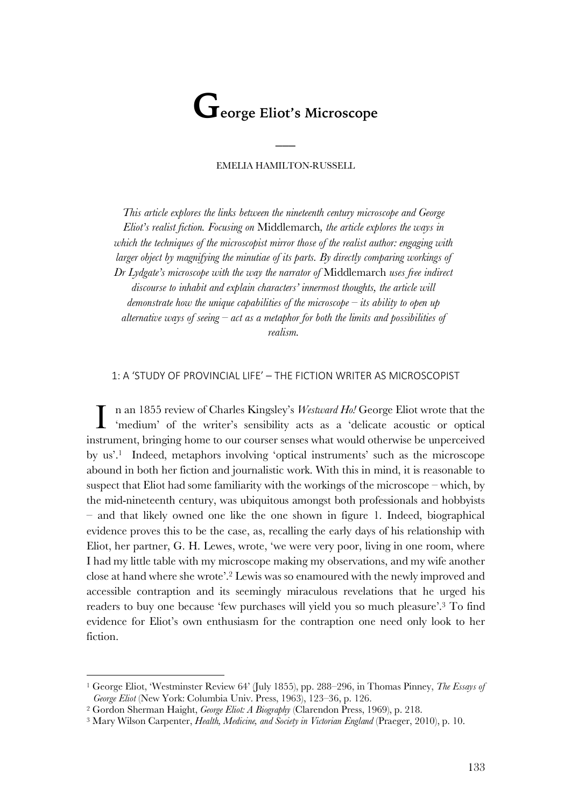# **George Eliot's Microscope**

## EMELIA HAMILTON-RUSSELL

 $\overline{\phantom{a}}$ 

*This article explores the links between the nineteenth century microscope and George Eliot's realist fiction. Focusing on* Middlemarch*, the article explores the ways in which the techniques of the microscopist mirror those of the realist author: engaging with larger object by magnifying the minutiae of its parts. By directly comparing workings of Dr Lydgate's microscope with the way the narrator of* Middlemarch *uses free indirect discourse to inhabit and explain characters' innermost thoughts, the article will demonstrate how the unique capabilities of the microscope – its ability to open up alternative ways of seeing – act as a metaphor for both the limits and possibilities of realism.*

1: A 'STUDY OF PROVINCIAL LIFE' – THE FICTION WRITER AS MICROSCOPIST

n an 1855 review of Charles Kingsley's *Westward Ho!* George Eliot wrote that the 'medium' of the writer's sensibility acts as a 'delicate acoustic or optical instrument, bringing home to our courser senses what would otherwise be unperceived by us'. 1 Indeed, metaphors involving 'optical instruments' such as the microscope abound in both her fiction and journalistic work. With this in mind, it is reasonable to suspect that Eliot had some familiarity with the workings of the microscope – which, by the mid-nineteenth century, was ubiquitous amongst both professionals and hobbyists – and that likely owned one like the one shown in figure 1. Indeed, biographical evidence proves this to be the case, as, recalling the early days of his relationship with Eliot, her partner, G. H. Lewes, wrote, 'we were very poor, living in one room, where I had my little table with my microscope making my observations, and my wife another close at hand where she wrote'.2 Lewis was so enamoured with the newly improved and accessible contraption and its seemingly miraculous revelations that he urged his readers to buy one because 'few purchases will yield you so much pleasure'. <sup>3</sup> To find evidence for Eliot's own enthusiasm for the contraption one need only look to her fiction. I

<sup>1</sup> George Eliot, 'Westminster Review 64' (July 1855), pp. 288–296, in Thomas Pinney, *The Essays of George Eliot* (New York: Columbia Univ. Press, 1963), 123–36, p. 126.

<sup>2</sup> Gordon Sherman Haight, *George Eliot: A Biography* (Clarendon Press, 1969), p. 218.

<sup>3</sup> Mary Wilson Carpenter, *Health, Medicine, and Society in Victorian England* (Praeger, 2010), p. 10.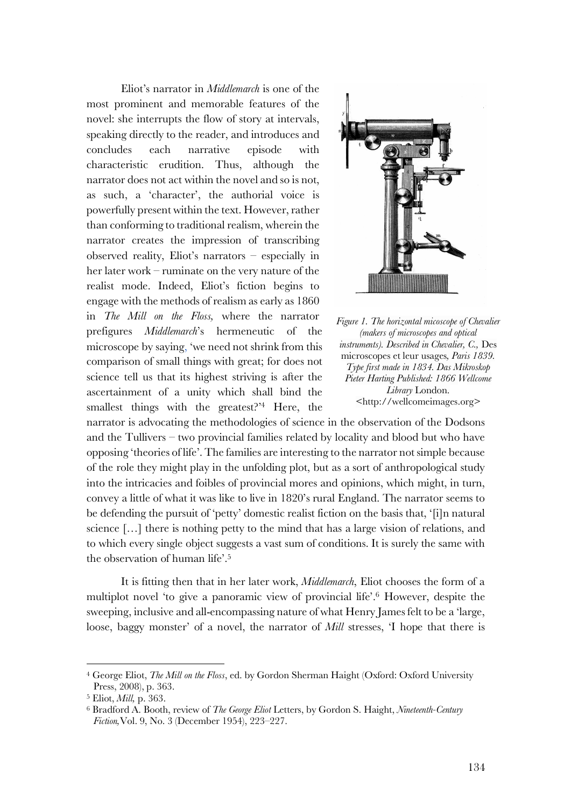Eliot's narrator in *Middlemarch* is one of the most prominent and memorable features of the novel: she interrupts the flow of story at intervals, speaking directly to the reader, and introduces and concludes each narrative episode with characteristic erudition. Thus, although the narrator does not act within the novel and so is not, as such, a 'character', the authorial voice is powerfully present within the text. However, rather than conforming to traditional realism, wherein the narrator creates the impression of transcribing observed reality, Eliot's narrators – especially in her later work – ruminate on the very nature of the realist mode. Indeed, Eliot's fiction begins to engage with the methods of realism as early as 1860 in *The Mill on the Floss,* where the narrator prefigures *Middlemarch*'s hermeneutic of the microscope by saying, 'we need not shrink from this comparison of small things with great; for does not science tell us that its highest striving is after the ascertainment of a unity which shall bind the smallest things with the greatest?'4 Here, the





narrator is advocating the methodologies of science in the observation of the Dodsons and the Tullivers – two provincial families related by locality and blood but who have opposing 'theories of life'. The families are interesting to the narrator not simple because of the role they might play in the unfolding plot, but as a sort of anthropological study into the intricacies and foibles of provincial mores and opinions, which might, in turn, convey a little of what it was like to live in 1820's rural England. The narrator seems to be defending the pursuit of 'petty' domestic realist fiction on the basis that, '[i]n natural science […] there is nothing petty to the mind that has a large vision of relations, and to which every single object suggests a vast sum of conditions. It is surely the same with the observation of human life'. 5

It is fitting then that in her later work, *Middlemarch*, Eliot chooses the form of a multiplot novel 'to give a panoramic view of provincial life'.6 However, despite the sweeping, inclusive and all-encompassing nature of what Henry James felt to be a 'large, loose, baggy monster' of a novel, the narrator of *Mill* stresses, 'I hope that there is

<sup>4</sup> George Eliot, *The Mill on the Floss*, ed. by Gordon Sherman Haight (Oxford: Oxford University Press, 2008), p. 363.

<sup>5</sup> Eliot, *Mill,* p. 363.

<sup>6</sup> Bradford A. Booth, review of *The George Eliot* Letters, by Gordon S. Haight, *Nineteenth-Century Fiction,*Vol. 9, No. 3 (December 1954), 223–227.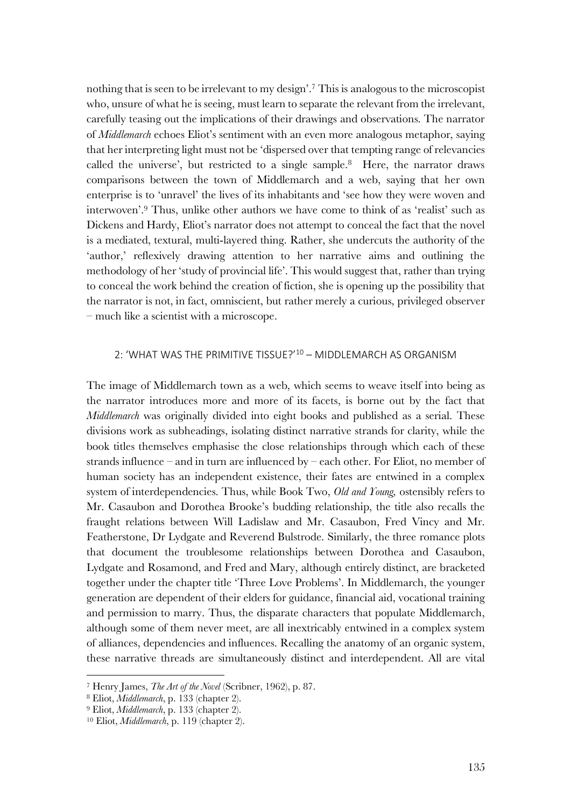nothing that is seen to be irrelevant to my design'. <sup>7</sup> This is analogous to the microscopist who, unsure of what he is seeing, must learn to separate the relevant from the irrelevant, carefully teasing out the implications of their drawings and observations. The narrator of *Middlemarch* echoes Eliot's sentiment with an even more analogous metaphor, saying that her interpreting light must not be 'dispersed over that tempting range of relevancies called the universe', but restricted to a single sample.8 Here, the narrator draws comparisons between the town of Middlemarch and a web, saying that her own enterprise is to 'unravel' the lives of its inhabitants and 'see how they were woven and interwoven'.9 Thus, unlike other authors we have come to think of as 'realist' such as Dickens and Hardy, Eliot's narrator does not attempt to conceal the fact that the novel is a mediated, textural, multi-layered thing. Rather, she undercuts the authority of the 'author,' reflexively drawing attention to her narrative aims and outlining the methodology of her 'study of provincial life'. This would suggest that, rather than trying to conceal the work behind the creation of fiction, she is opening up the possibility that the narrator is not, in fact, omniscient, but rather merely a curious, privileged observer – much like a scientist with a microscope.

## 2: 'WHAT WAS THE PRIMITIVE TISSUE?'10 – MIDDLEMARCH AS ORGANISM

The image of Middlemarch town as a web, which seems to weave itself into being as the narrator introduces more and more of its facets, is borne out by the fact that *Middlemarch* was originally divided into eight books and published as a serial. These divisions work as subheadings, isolating distinct narrative strands for clarity, while the book titles themselves emphasise the close relationships through which each of these strands influence – and in turn are influenced by – each other. For Eliot, no member of human society has an independent existence, their fates are entwined in a complex system of interdependencies. Thus, while Book Two, *Old and Young,* ostensibly refers to Mr. Casaubon and Dorothea Brooke's budding relationship, the title also recalls the fraught relations between Will Ladislaw and Mr. Casaubon, Fred Vincy and Mr. Featherstone, Dr Lydgate and Reverend Bulstrode. Similarly, the three romance plots that document the troublesome relationships between Dorothea and Casaubon, Lydgate and Rosamond, and Fred and Mary, although entirely distinct, are bracketed together under the chapter title 'Three Love Problems'. In Middlemarch, the younger generation are dependent of their elders for guidance, financial aid, vocational training and permission to marry. Thus, the disparate characters that populate Middlemarch, although some of them never meet, are all inextricably entwined in a complex system of alliances, dependencies and influences. Recalling the anatomy of an organic system, these narrative threads are simultaneously distinct and interdependent. All are vital

<sup>7</sup> Henry James, *The Art of the Novel* (Scribner, 1962), p. 87.

<sup>8</sup> Eliot, *Middlemarch*, p. 133 (chapter 2).

<sup>9</sup> Eliot, *Middlemarch*, p. 133 (chapter 2).

<sup>10</sup> Eliot, *Middlemarch*, p. 119 (chapter 2).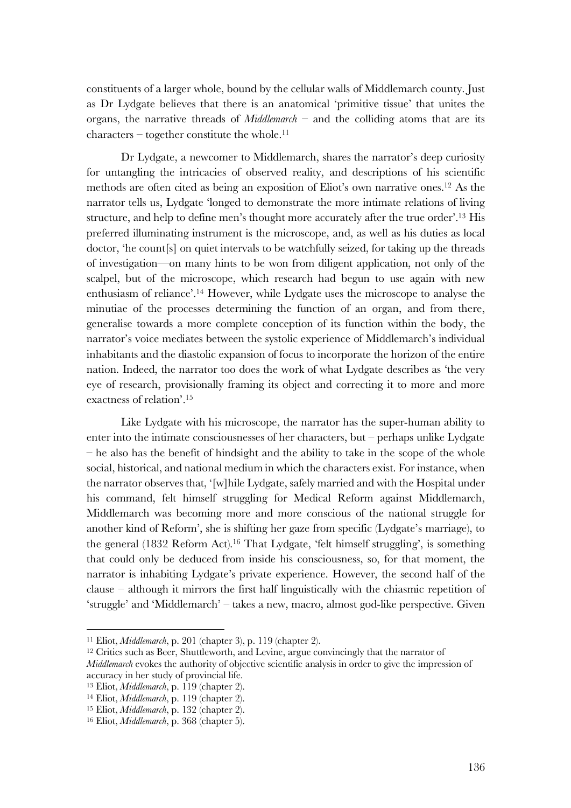constituents of a larger whole, bound by the cellular walls of Middlemarch county. Just as Dr Lydgate believes that there is an anatomical 'primitive tissue' that unites the organs, the narrative threads of *Middlemarch –* and the colliding atoms that are its  $characters - together constitute the whole.<sup>11</sup>$ 

Dr Lydgate, a newcomer to Middlemarch, shares the narrator's deep curiosity for untangling the intricacies of observed reality, and descriptions of his scientific methods are often cited as being an exposition of Eliot's own narrative ones.12 As the narrator tells us, Lydgate 'longed to demonstrate the more intimate relations of living structure, and help to define men's thought more accurately after the true order'.13 His preferred illuminating instrument is the microscope, and, as well as his duties as local doctor, 'he count[s] on quiet intervals to be watchfully seized, for taking up the threads of investigation—on many hints to be won from diligent application, not only of the scalpel, but of the microscope, which research had begun to use again with new enthusiasm of reliance'.14 However, while Lydgate uses the microscope to analyse the minutiae of the processes determining the function of an organ, and from there, generalise towards a more complete conception of its function within the body, the narrator's voice mediates between the systolic experience of Middlemarch's individual inhabitants and the diastolic expansion of focus to incorporate the horizon of the entire nation. Indeed, the narrator too does the work of what Lydgate describes as 'the very eye of research, provisionally framing its object and correcting it to more and more exactness of relation'. 15

Like Lydgate with his microscope, the narrator has the super-human ability to enter into the intimate consciousnesses of her characters, but – perhaps unlike Lydgate – he also has the benefit of hindsight and the ability to take in the scope of the whole social, historical, and national medium in which the characters exist. For instance, when the narrator observes that, '[w]hile Lydgate, safely married and with the Hospital under his command, felt himself struggling for Medical Reform against Middlemarch, Middlemarch was becoming more and more conscious of the national struggle for another kind of Reform', she is shifting her gaze from specific (Lydgate's marriage), to the general (1832 Reform Act). <sup>16</sup> That Lydgate, 'felt himself struggling', is something that could only be deduced from inside his consciousness, so, for that moment, the narrator is inhabiting Lydgate's private experience. However, the second half of the clause – although it mirrors the first half linguistically with the chiasmic repetition of 'struggle' and 'Middlemarch' – takes a new, macro, almost god-like perspective. Given

<sup>11</sup> Eliot, *Middlemarch*, p. 201 (chapter 3), p. 119 (chapter 2).

<sup>12</sup> Critics such as Beer, Shuttleworth, and Levine, argue convincingly that the narrator of *Middlemarch* evokes the authority of objective scientific analysis in order to give the impression of accuracy in her study of provincial life.

<sup>13</sup> Eliot, *Middlemarch*, p. 119 (chapter 2).

<sup>14</sup> Eliot, *Middlemarch*, p. 119 (chapter 2).

<sup>15</sup> Eliot, *Middlemarch*, p. 132 (chapter 2).

<sup>16</sup> Eliot, *Middlemarch*, p. 368 (chapter 5).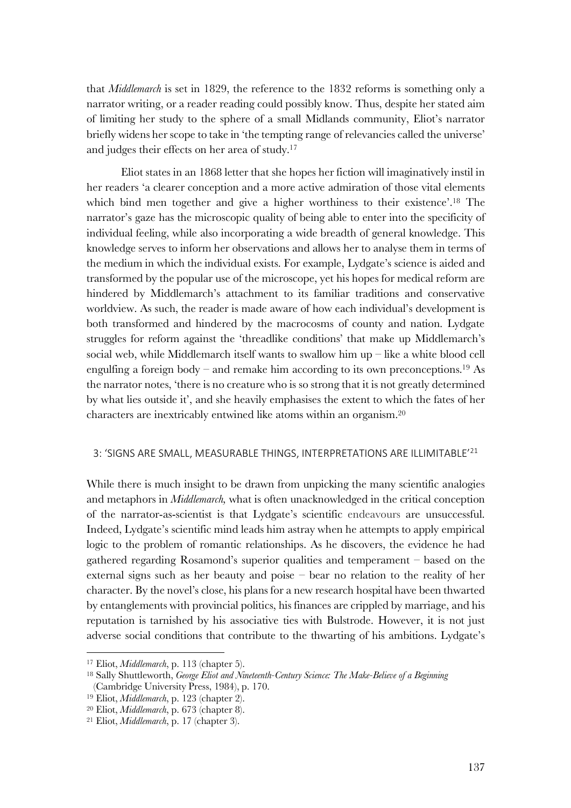that *Middlemarch* is set in 1829, the reference to the 1832 reforms is something only a narrator writing, or a reader reading could possibly know. Thus, despite her stated aim of limiting her study to the sphere of a small Midlands community, Eliot's narrator briefly widens her scope to take in 'the tempting range of relevancies called the universe' and judges their effects on her area of study. 17

Eliot states in an 1868 letter that she hopes her fiction will imaginatively instil in her readers 'a clearer conception and a more active admiration of those vital elements which bind men together and give a higher worthiness to their existence'. <sup>18</sup> The narrator's gaze has the microscopic quality of being able to enter into the specificity of individual feeling, while also incorporating a wide breadth of general knowledge. This knowledge serves to inform her observations and allows her to analyse them in terms of the medium in which the individual exists. For example, Lydgate's science is aided and transformed by the popular use of the microscope, yet his hopes for medical reform are hindered by Middlemarch's attachment to its familiar traditions and conservative worldview. As such, the reader is made aware of how each individual's development is both transformed and hindered by the macrocosms of county and nation. Lydgate struggles for reform against the 'threadlike conditions' that make up Middlemarch's social web, while Middlemarch itself wants to swallow him up  $-$  like a white blood cell engulfing a foreign body – and remake him according to its own preconceptions.<sup>19</sup> As the narrator notes, 'there is no creature who is so strong that it is not greatly determined by what lies outside it', and she heavily emphasises the extent to which the fates of her characters are inextricably entwined like atoms within an organism.20

# 3: 'SIGNS ARE SMALL, MEASURABLE THINGS, INTERPRETATIONS ARE ILLIMITABLE'21

While there is much insight to be drawn from unpicking the many scientific analogies and metaphors in *Middlemarch,* what is often unacknowledged in the critical conception of the narrator-as-scientist is that Lydgate's scientific endeavours are unsuccessful. Indeed, Lydgate's scientific mind leads him astray when he attempts to apply empirical logic to the problem of romantic relationships. As he discovers, the evidence he had gathered regarding Rosamond's superior qualities and temperament – based on the external signs such as her beauty and poise – bear no relation to the reality of her character. By the novel's close, his plans for a new research hospital have been thwarted by entanglements with provincial politics, his finances are crippled by marriage, and his reputation is tarnished by his associative ties with Bulstrode. However, it is not just adverse social conditions that contribute to the thwarting of his ambitions. Lydgate's

<sup>17</sup> Eliot, *Middlemarch*, p. 113 (chapter 5).

<sup>18</sup> Sally Shuttleworth, *George Eliot and Nineteenth-Century Science: The Make-Believe of a Beginning* (Cambridge University Press, 1984), p. 170.

<sup>19</sup> Eliot, *Middlemarch*, p. 123 (chapter 2).

<sup>20</sup> Eliot, *Middlemarch*, p. 673 (chapter 8).

<sup>21</sup> Eliot, *Middlemarch*, p. 17 (chapter 3).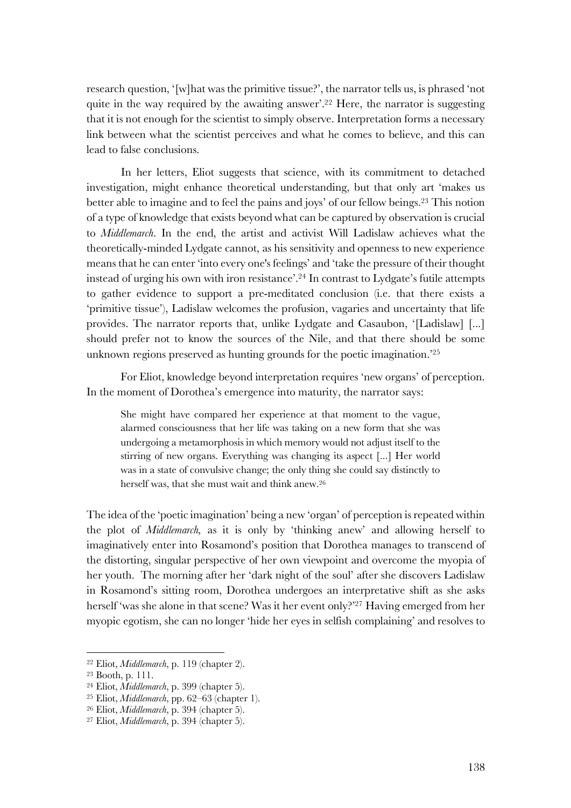research question, '[w]hat was the primitive tissue?', the narrator tells us, is phrased 'not quite in the way required by the awaiting answer'. <sup>22</sup> Here, the narrator is suggesting that it is not enough for the scientist to simply observe. Interpretation forms a necessary link between what the scientist perceives and what he comes to believe, and this can lead to false conclusions.

In her letters, Eliot suggests that science, with its commitment to detached investigation, might enhance theoretical understanding, but that only art 'makes us better able to imagine and to feel the pains and joys' of our fellow beings.23 This notion of a type of knowledge that exists beyond what can be captured by observation is crucial to *Middlemarch*. In the end, the artist and activist Will Ladislaw achieves what the theoretically-minded Lydgate cannot, as his sensitivity and openness to new experience means that he can enter 'into every one's feelings' and 'take the pressure of their thought instead of urging his own with iron resistance'.24 In contrast to Lydgate's futile attempts to gather evidence to support a pre-meditated conclusion (i.e. that there exists a 'primitive tissue'), Ladislaw welcomes the profusion, vagaries and uncertainty that life provides. The narrator reports that, unlike Lydgate and Casaubon, '[Ladislaw] [...] should prefer not to know the sources of the Nile, and that there should be some unknown regions preserved as hunting grounds for the poetic imagination.'25

For Eliot, knowledge beyond interpretation requires 'new organs' of perception. In the moment of Dorothea's emergence into maturity, the narrator says:

She might have compared her experience at that moment to the vague, alarmed consciousness that her life was taking on a new form that she was undergoing a metamorphosis in which memory would not adjust itself to the stirring of new organs. Everything was changing its aspect [...] Her world was in a state of convulsive change; the only thing she could say distinctly to herself was, that she must wait and think anew.26

The idea of the 'poetic imagination' being a new 'organ' of perception is repeated within the plot of *Middlemarch,* as it is only by 'thinking anew' and allowing herself to imaginatively enter into Rosamond's position that Dorothea manages to transcend of the distorting, singular perspective of her own viewpoint and overcome the myopia of her youth. The morning after her 'dark night of the soul' after she discovers Ladislaw in Rosamond's sitting room, Dorothea undergoes an interpretative shift as she asks herself 'was she alone in that scene? Was it her event only?'27 Having emerged from her myopic egotism, she can no longer 'hide her eyes in selfish complaining' and resolves to

<sup>22</sup> Eliot, *Middlemarch*, p. 119 (chapter 2).

<sup>23</sup> Booth, p. 111.

<sup>24</sup> Eliot, *Middlemarch*, p. 399 (chapter 5).

<sup>25</sup> Eliot, *Middlemarch*, pp. 62–63 (chapter 1).

<sup>26</sup> Eliot, *Middlemarch*, p. 394 (chapter 5).

<sup>27</sup> Eliot, *Middlemarch*, p. 394 (chapter 5).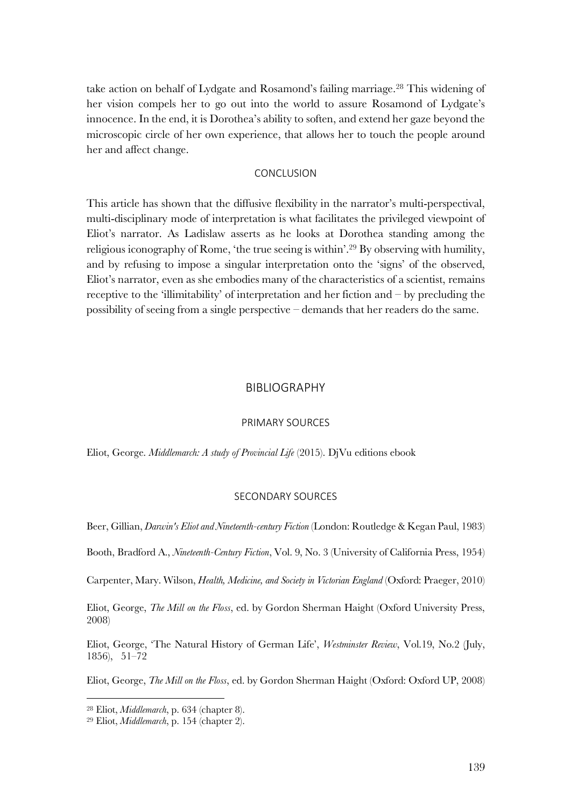take action on behalf of Lydgate and Rosamond's failing marriage.<sup>28</sup> This widening of her vision compels her to go out into the world to assure Rosamond of Lydgate's innocence. In the end, it is Dorothea's ability to soften, and extend her gaze beyond the microscopic circle of her own experience, that allows her to touch the people around her and affect change.

## **CONCLUSION**

This article has shown that the diffusive flexibility in the narrator's multi-perspectival, multi-disciplinary mode of interpretation is what facilitates the privileged viewpoint of Eliot's narrator. As Ladislaw asserts as he looks at Dorothea standing among the religious iconography of Rome, 'the true seeing is within'.29 By observing with humility, and by refusing to impose a singular interpretation onto the 'signs' of the observed, Eliot's narrator, even as she embodies many of the characteristics of a scientist, remains receptive to the 'illimitability' of interpretation and her fiction and – by precluding the possibility of seeing from a single perspective – demands that her readers do the same.

## BIBLIOGRAPHY

#### PRIMARY SOURCES

Eliot, George. *Middlemarch: A study of Provincial Life* (2015). DjVu editions ebook

#### SECONDARY SOURCES

Beer, Gillian, *Darwin's Eliot and Nineteenth-century Fiction* (London: Routledge & Kegan Paul, 1983)

Booth, Bradford A., *Nineteenth-Century Fiction*, Vol. 9, No. 3 (University of California Press, 1954)

Carpenter, Mary. Wilson, *Health, Medicine, and Society in Victorian England* (Oxford: Praeger, 2010)

Eliot, George, *The Mill on the Floss*, ed. by Gordon Sherman Haight (Oxford University Press, 2008)

Eliot, George, 'The Natural History of German Life', *Westminster Review*, Vol.19, No.2 (July, 1856), 51–72

Eliot, George, *The Mill on the Floss*, ed. by Gordon Sherman Haight (Oxford: Oxford UP, 2008)

<sup>28</sup> Eliot, *Middlemarch*, p. 634 (chapter 8).

<sup>29</sup> Eliot, *Middlemarch*, p. 154 (chapter 2).